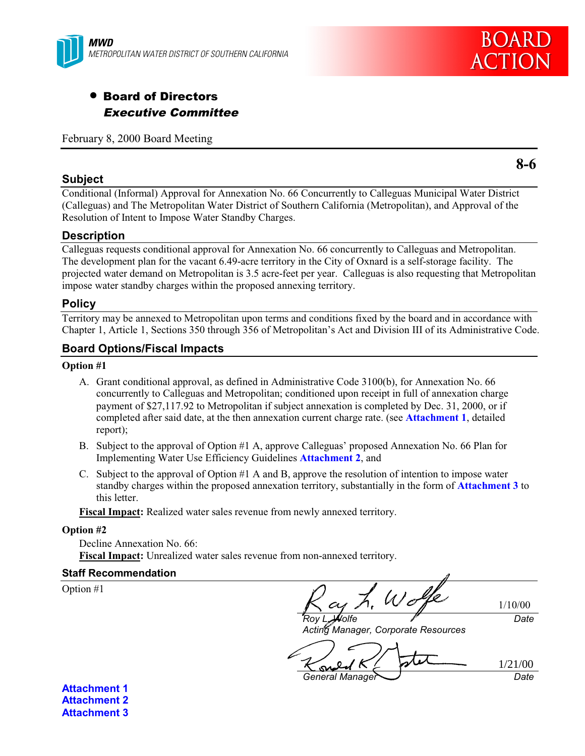



# • Board of Directors Executive Committee

February 8, 2000 Board Meeting

#### **Subject**

Conditional (Informal) Approval for Annexation No. 66 Concurrently to Calleguas Municipal Water District (Calleguas) and The Metropolitan Water District of Southern California (Metropolitan), and Approval of the Resolution of Intent to Impose Water Standby Charges.

#### **Description**

Calleguas requests conditional approval for Annexation No. 66 concurrently to Calleguas and Metropolitan. The development plan for the vacant 6.49-acre territory in the City of Oxnard is a self-storage facility. The projected water demand on Metropolitan is 3.5 acre-feet per year. Calleguas is also requesting that Metropolitan impose water standby charges within the proposed annexing territory.

#### **Policy**

Territory may be annexed to Metropolitan upon terms and conditions fixed by the board and in accordance with Chapter 1, Article 1, Sections 350 through 356 of Metropolitan's Act and Division III of its Administrative Code.

#### **Board Options/Fiscal Impacts**

#### **Option #1**

- A. Grant conditional approval, as defined in Administrative Code 3100(b), for Annexation No. 66 concurrently to Calleguas and Metropolitan; conditioned upon receipt in full of annexation charge payment of \$27,117.92 to Metropolitan if subject annexation is completed by Dec. 31, 2000, or if completed after said date, at the then annexation current charge rate. (see **Attachment 1**, detailed report);
- B. Subject to the approval of Option #1 A, approve Calleguas' proposed Annexation No. 66 Plan for Implementing Water Use Efficiency Guidelines **Attachment 2**, and
- C. Subject to the approval of Option #1 A and B, approve the resolution of intention to impose water standby charges within the proposed annexation territory, substantially in the form of **Attachment 3** to this letter.

**Fiscal Impact:** Realized water sales revenue from newly annexed territory.

#### **Option #2**

Decline Annexation No. 66: **Fiscal Impact:** Unrealized water sales revenue from non-annexed territory.

#### **Staff Recommendation**

Option #1

1/10/00  $\mathcal U$ olfe Date

Acting Manager, Corporate Resources

1/21/00  $\infty$ 

General Manager Date

**Attachment 1 Attachment 2 Attachment 3** **8-6**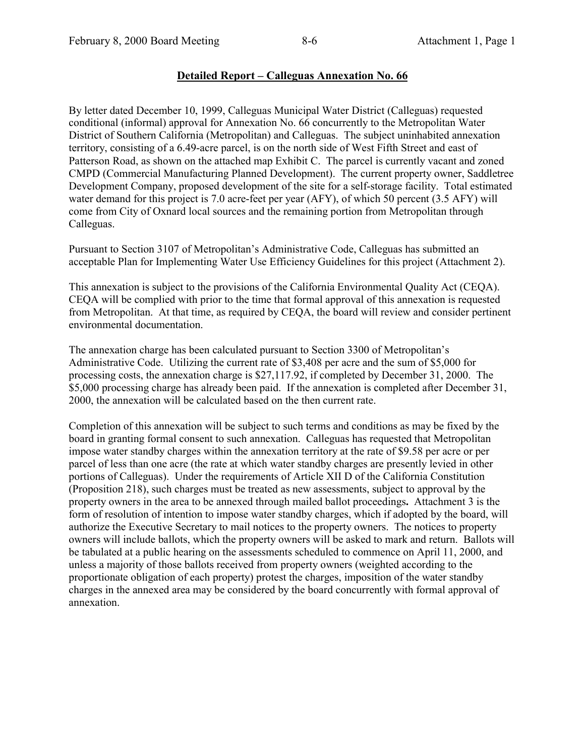#### **Detailed Report – Calleguas Annexation No. 66**

By letter dated December 10, 1999, Calleguas Municipal Water District (Calleguas) requested conditional (informal) approval for Annexation No. 66 concurrently to the Metropolitan Water District of Southern California (Metropolitan) and Calleguas. The subject uninhabited annexation territory, consisting of a 6.49-acre parcel, is on the north side of West Fifth Street and east of Patterson Road, as shown on the attached map Exhibit C. The parcel is currently vacant and zoned CMPD (Commercial Manufacturing Planned Development). The current property owner, Saddletree Development Company, proposed development of the site for a self-storage facility. Total estimated water demand for this project is 7.0 acre-feet per year (AFY), of which 50 percent (3.5 AFY) will come from City of Oxnard local sources and the remaining portion from Metropolitan through Calleguas.

Pursuant to Section 3107 of Metropolitan's Administrative Code, Calleguas has submitted an acceptable Plan for Implementing Water Use Efficiency Guidelines for this project (Attachment 2).

This annexation is subject to the provisions of the California Environmental Quality Act (CEQA). CEQA will be complied with prior to the time that formal approval of this annexation is requested from Metropolitan. At that time, as required by CEQA, the board will review and consider pertinent environmental documentation.

The annexation charge has been calculated pursuant to Section 3300 of Metropolitan's Administrative Code. Utilizing the current rate of \$3,408 per acre and the sum of \$5,000 for processing costs, the annexation charge is \$27,117.92, if completed by December 31, 2000. The \$5,000 processing charge has already been paid. If the annexation is completed after December 31, 2000, the annexation will be calculated based on the then current rate.

Completion of this annexation will be subject to such terms and conditions as may be fixed by the board in granting formal consent to such annexation. Calleguas has requested that Metropolitan impose water standby charges within the annexation territory at the rate of \$9.58 per acre or per parcel of less than one acre (the rate at which water standby charges are presently levied in other portions of Calleguas). Under the requirements of Article XII D of the California Constitution (Proposition 218), such charges must be treated as new assessments, subject to approval by the property owners in the area to be annexed through mailed ballot proceedings**.** Attachment 3 is the form of resolution of intention to impose water standby charges, which if adopted by the board, will authorize the Executive Secretary to mail notices to the property owners. The notices to property owners will include ballots, which the property owners will be asked to mark and return. Ballots will be tabulated at a public hearing on the assessments scheduled to commence on April 11, 2000, and unless a majority of those ballots received from property owners (weighted according to the proportionate obligation of each property) protest the charges, imposition of the water standby charges in the annexed area may be considered by the board concurrently with formal approval of annexation.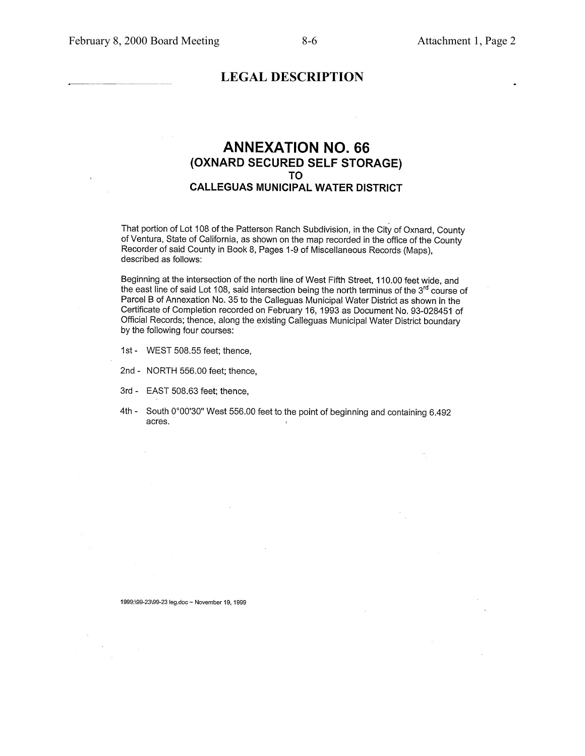#### **LEGAL DESCRIPTION**

#### **ANNEXATION NO. 66** (OXNARD SECURED SELF STORAGE) TO **CALLEGUAS MUNICIPAL WATER DISTRICT**

That portion of Lot 108 of the Patterson Ranch Subdivision, in the City of Oxnard, County of Ventura, State of California, as shown on the map recorded in the office of the County Recorder of said County in Book 8, Pages 1-9 of Miscellaneous Records (Maps), described as follows:

Beginning at the intersection of the north line of West Fifth Street, 110.00 feet wide, and the east line of said Lot 108, said intersection being the north terminus of the 3rd course of Parcel B of Annexation No. 35 to the Calleguas Municipal Water District as shown in the Certificate of Completion recorded on February 16, 1993 as Document No. 93-028451 of Official Records; thence, along the existing Calleguas Municipal Water District boundary by the following four courses:

- 1st WEST 508.55 feet; thence,
- 2nd NORTH 556.00 feet; thence,
- 3rd EAST 508.63 feet; thence,
- 4th South 0°00'30" West 556.00 feet to the point of beginning and containing 6.492 acres.

1999:\99-23\99-23 leg.doc ~ November 19, 1999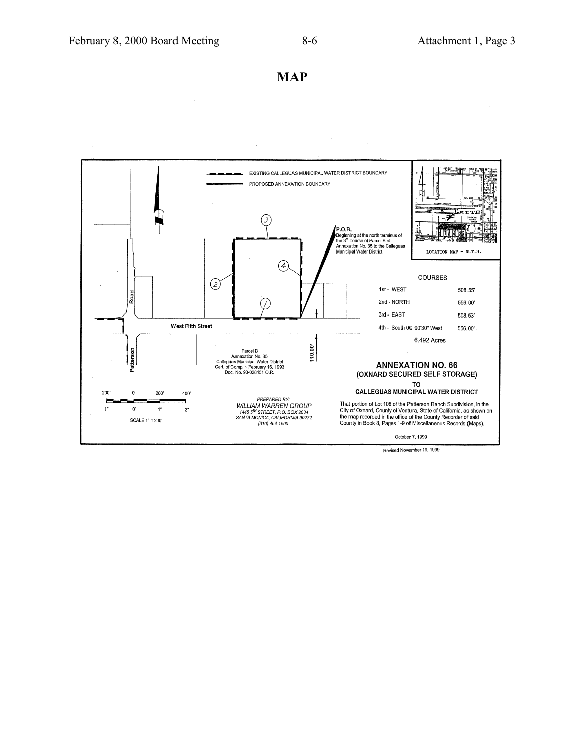**MAP**



Revised November 19, 1999

 $\ddot{\phantom{0}}$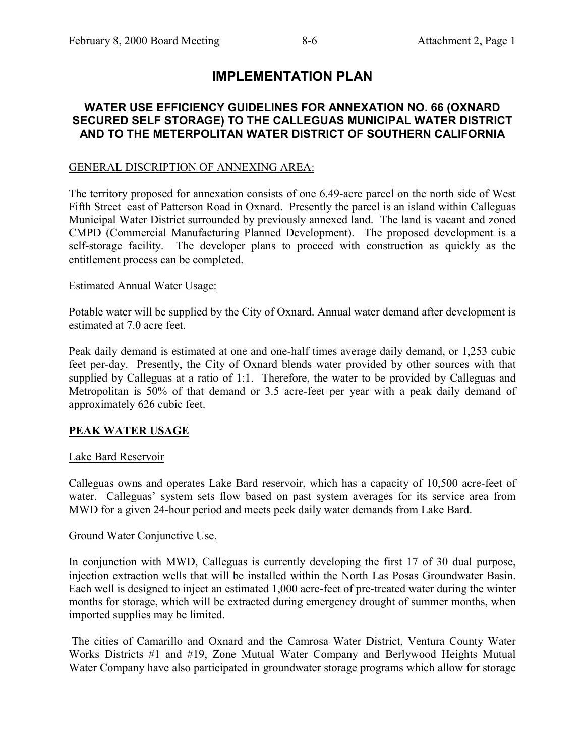# **IMPLEMENTATION PLAN**

# **WATER USE EFFICIENCY GUIDELINES FOR ANNEXATION NO. 66 (OXNARD SECURED SELF STORAGE) TO THE CALLEGUAS MUNICIPAL WATER DISTRICT AND TO THE METERPOLITAN WATER DISTRICT OF SOUTHERN CALIFORNIA**

# GENERAL DISCRIPTION OF ANNEXING AREA:

The territory proposed for annexation consists of one 6.49-acre parcel on the north side of West Fifth Street east of Patterson Road in Oxnard. Presently the parcel is an island within Calleguas Municipal Water District surrounded by previously annexed land. The land is vacant and zoned CMPD (Commercial Manufacturing Planned Development). The proposed development is a self-storage facility. The developer plans to proceed with construction as quickly as the entitlement process can be completed.

# Estimated Annual Water Usage:

Potable water will be supplied by the City of Oxnard. Annual water demand after development is estimated at 7.0 acre feet.

Peak daily demand is estimated at one and one-half times average daily demand, or 1,253 cubic feet per-day. Presently, the City of Oxnard blends water provided by other sources with that supplied by Calleguas at a ratio of 1:1. Therefore, the water to be provided by Calleguas and Metropolitan is 50% of that demand or 3.5 acre-feet per year with a peak daily demand of approximately 626 cubic feet.

# **PEAK WATER USAGE**

# Lake Bard Reservoir

Calleguas owns and operates Lake Bard reservoir, which has a capacity of 10,500 acre-feet of water. Calleguas' system sets flow based on past system averages for its service area from MWD for a given 24-hour period and meets peek daily water demands from Lake Bard.

# Ground Water Conjunctive Use.

In conjunction with MWD, Calleguas is currently developing the first 17 of 30 dual purpose, injection extraction wells that will be installed within the North Las Posas Groundwater Basin. Each well is designed to inject an estimated 1,000 acre-feet of pre-treated water during the winter months for storage, which will be extracted during emergency drought of summer months, when imported supplies may be limited.

 The cities of Camarillo and Oxnard and the Camrosa Water District, Ventura County Water Works Districts #1 and #19, Zone Mutual Water Company and Berlywood Heights Mutual Water Company have also participated in groundwater storage programs which allow for storage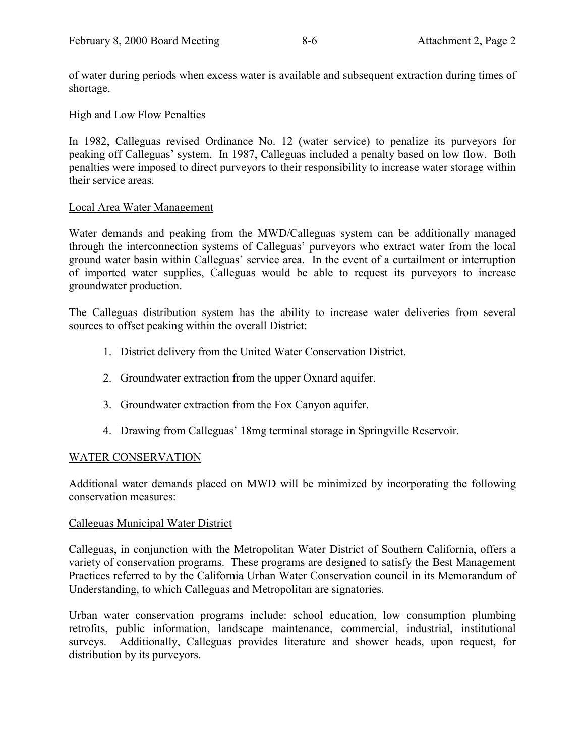of water during periods when excess water is available and subsequent extraction during times of shortage.

#### High and Low Flow Penalties

In 1982, Calleguas revised Ordinance No. 12 (water service) to penalize its purveyors for peaking off Calleguas' system. In 1987, Calleguas included a penalty based on low flow. Both penalties were imposed to direct purveyors to their responsibility to increase water storage within their service areas.

#### Local Area Water Management

Water demands and peaking from the MWD/Calleguas system can be additionally managed through the interconnection systems of Calleguas' purveyors who extract water from the local ground water basin within Calleguas' service area. In the event of a curtailment or interruption of imported water supplies, Calleguas would be able to request its purveyors to increase groundwater production.

The Calleguas distribution system has the ability to increase water deliveries from several sources to offset peaking within the overall District:

- 1. District delivery from the United Water Conservation District.
- 2. Groundwater extraction from the upper Oxnard aquifer.
- 3. Groundwater extraction from the Fox Canyon aquifer.
- 4. Drawing from Calleguas' 18mg terminal storage in Springville Reservoir.

#### WATER CONSERVATION

Additional water demands placed on MWD will be minimized by incorporating the following conservation measures:

#### Calleguas Municipal Water District

Calleguas, in conjunction with the Metropolitan Water District of Southern California, offers a variety of conservation programs. These programs are designed to satisfy the Best Management Practices referred to by the California Urban Water Conservation council in its Memorandum of Understanding, to which Calleguas and Metropolitan are signatories.

Urban water conservation programs include: school education, low consumption plumbing retrofits, public information, landscape maintenance, commercial, industrial, institutional surveys. Additionally, Calleguas provides literature and shower heads, upon request, for distribution by its purveyors.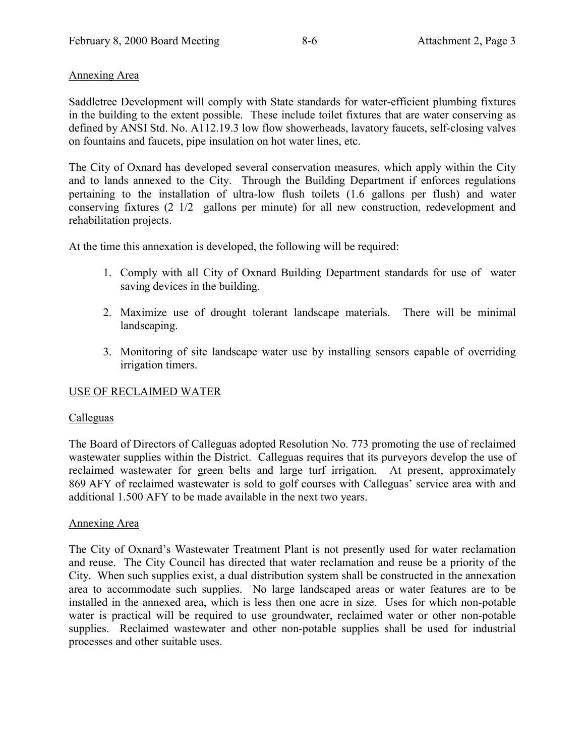#### Annexing Area

Saddletree Development will comply with State standards for water-efficient plumbing fixtures in the building to the extent possible. These include toilet fixtures that are water conserving as defined by ANSI Std. No. A112.19.3 low flow showerheads, lavatory faucets, self-closing valves on fountains and faucets, pipe insulation on hot water lines, etc.

The City of Oxnard has developed several conservation measures, which apply within the City and to lands annexed to the City. Through the Building Department if enforces regulations pertaining to the installation of ultra-low flush toilets (1.6 gallons per flush) and water conserving fixtures (2 1/2 gallons per minute) for all new construction, redevelopment and rehabilitation projects.

At the time this annexation is developed, the following will be required:

- 1. Comply with all City of Oxnard Building Department standards for use of water saving devices in the building.
- 2. Maximize use of drought tolerant landscape materials. There will be minimal landscaping.
- 3. Monitoring of site landscape water use by installing sensors capable of overriding irrigation timers.

# USE OF RECLAIMED WATER

# **Calleguas**

The Board of Directors of Calleguas adopted Resolution No. 773 promoting the use of reclaimed wastewater supplies within the District. Calleguas requires that its purveyors develop the use of reclaimed wastewater for green belts and large turf irrigation. At present, approximately 869 AFY of reclaimed wastewater is sold to golf courses with Calleguas' service area with and additional 1.500 AFY to be made available in the next two years.

#### Annexing Area

The City of Oxnard's Wastewater Treatment Plant is not presently used for water reclamation and reuse. The City Council has directed that water reclamation and reuse be a priority of the City. When such supplies exist, a dual distribution system shall be constructed in the annexation area to accommodate such supplies. No large landscaped areas or water features are to be installed in the annexed area, which is less then one acre in size. Uses for which non-potable water is practical will be required to use groundwater, reclaimed water or other non-potable supplies. Reclaimed wastewater and other non-potable supplies shall be used for industrial processes and other suitable uses.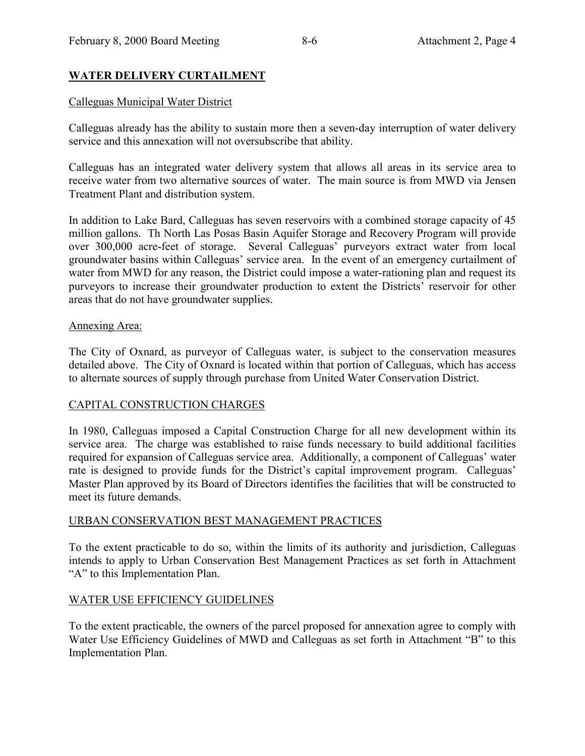# **WATER DELIVERY CURTAILMENT**

### Calleguas Municipal Water District

Calleguas already has the ability to sustain more then a seven-day interruption of water delivery service and this annexation will not oversubscribe that ability.

Calleguas has an integrated water delivery system that allows all areas in its service area to receive water from two alternative sources of water. The main source is from MWD via Jensen Treatment Plant and distribution system.

In addition to Lake Bard, Calleguas has seven reservoirs with a combined storage capacity of 45 million gallons. Th North Las Posas Basin Aquifer Storage and Recovery Program will provide over 300,000 acre-feet of storage. Several Calleguas' purveyors extract water from local groundwater basins within Calleguas' service area. In the event of an emergency curtailment of water from MWD for any reason, the District could impose a water-rationing plan and request its purveyors to increase their groundwater production to extent the Districts' reservoir for other areas that do not have groundwater supplies.

#### Annexing Area:

The City of Oxnard, as purveyor of Calleguas water, is subject to the conservation measures detailed above. The City of Oxnard is located within that portion of Calleguas, which has access to alternate sources of supply through purchase from United Water Conservation District.

# CAPITAL CONSTRUCTION CHARGES

In 1980, Calleguas imposed a Capital Construction Charge for all new development within its service area. The charge was established to raise funds necessary to build additional facilities required for expansion of Calleguas service area. Additionally, a component of Calleguas' water rate is designed to provide funds for the District's capital improvement program. Calleguas' Master Plan approved by its Board of Directors identifies the facilities that will be constructed to meet its future demands.

#### URBAN CONSERVATION BEST MANAGEMENT PRACTICES

To the extent practicable to do so, within the limits of its authority and jurisdiction, Calleguas intends to apply to Urban Conservation Best Management Practices as set forth in Attachment "A" to this Implementation Plan.

#### WATER USE EFFICIENCY GUIDELINES

To the extent practicable, the owners of the parcel proposed for annexation agree to comply with Water Use Efficiency Guidelines of MWD and Calleguas as set forth in Attachment "B" to this Implementation Plan.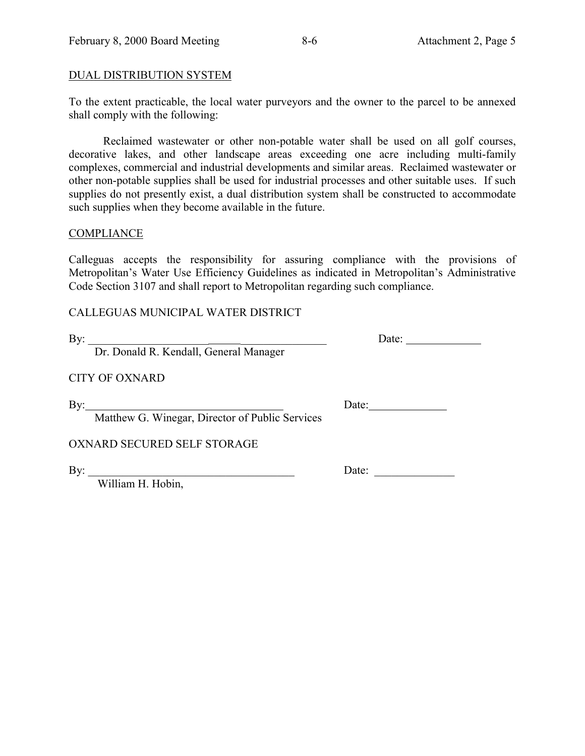# DUAL DISTRIBUTION SYSTEM

To the extent practicable, the local water purveyors and the owner to the parcel to be annexed shall comply with the following:

Reclaimed wastewater or other non-potable water shall be used on all golf courses, decorative lakes, and other landscape areas exceeding one acre including multi-family complexes, commercial and industrial developments and similar areas. Reclaimed wastewater or other non-potable supplies shall be used for industrial processes and other suitable uses. If such supplies do not presently exist, a dual distribution system shall be constructed to accommodate such supplies when they become available in the future.

#### **COMPLIANCE**

Calleguas accepts the responsibility for assuring compliance with the provisions of Metropolitan's Water Use Efficiency Guidelines as indicated in Metropolitan's Administrative Code Section 3107 and shall report to Metropolitan regarding such compliance.

CALLEGUAS MUNICIPAL WATER DISTRICT

By:  $\qquad \qquad \qquad \qquad$  Date:

Dr. Donald R. Kendall, General Manager

CITY OF OXNARD

By: Date:

Matthew G. Winegar, Director of Public Services

OXNARD SECURED SELF STORAGE

William H. Hobin,

By:  $\Box$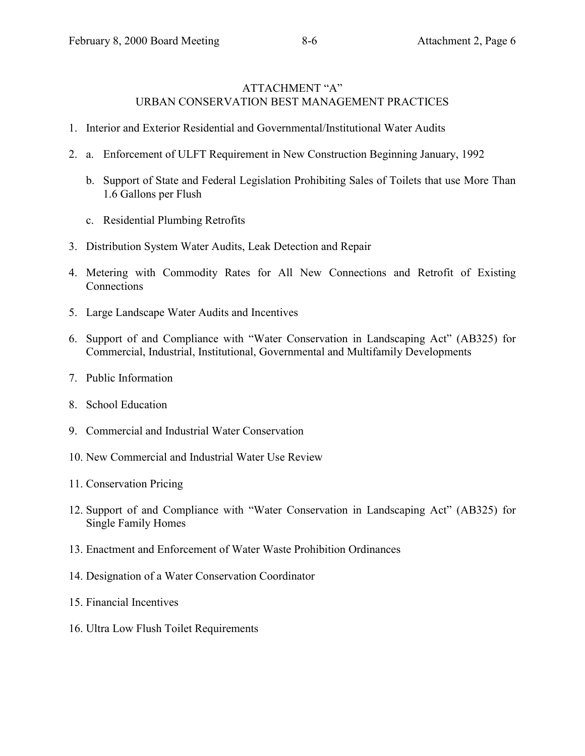#### ATTACHMENT "A" URBAN CONSERVATION BEST MANAGEMENT PRACTICES

- 1. Interior and Exterior Residential and Governmental/Institutional Water Audits
- 2. a. Enforcement of ULFT Requirement in New Construction Beginning January, 1992
	- b. Support of State and Federal Legislation Prohibiting Sales of Toilets that use More Than 1.6 Gallons per Flush
	- c. Residential Plumbing Retrofits
- 3. Distribution System Water Audits, Leak Detection and Repair
- 4. Metering with Commodity Rates for All New Connections and Retrofit of Existing Connections
- 5. Large Landscape Water Audits and Incentives
- 6. Support of and Compliance with "Water Conservation in Landscaping Act" (AB325) for Commercial, Industrial, Institutional, Governmental and Multifamily Developments
- 7. Public Information
- 8. School Education
- 9. Commercial and Industrial Water Conservation
- 10. New Commercial and Industrial Water Use Review
- 11. Conservation Pricing
- 12. Support of and Compliance with "Water Conservation in Landscaping Act" (AB325) for Single Family Homes
- 13. Enactment and Enforcement of Water Waste Prohibition Ordinances
- 14. Designation of a Water Conservation Coordinator
- 15. Financial Incentives
- 16. Ultra Low Flush Toilet Requirements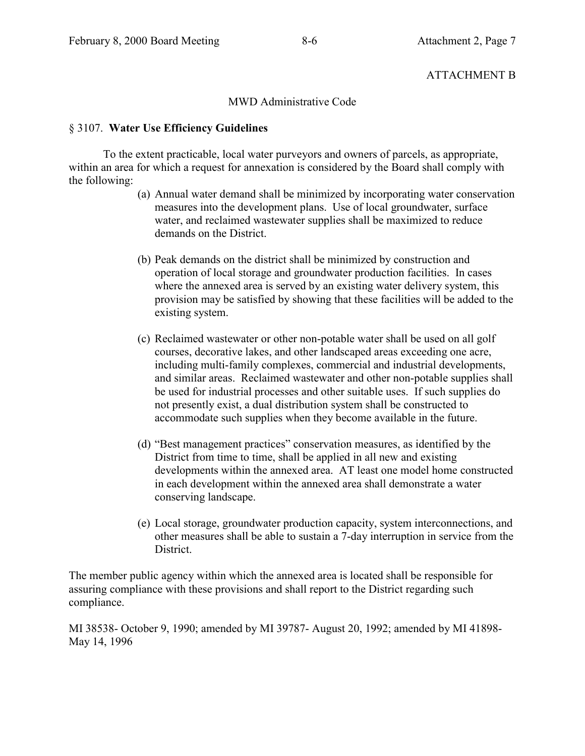### ATTACHMENT B

#### MWD Administrative Code

#### § 3107. **Water Use Efficiency Guidelines**

To the extent practicable, local water purveyors and owners of parcels, as appropriate, within an area for which a request for annexation is considered by the Board shall comply with the following:

- (a) Annual water demand shall be minimized by incorporating water conservation measures into the development plans. Use of local groundwater, surface water, and reclaimed wastewater supplies shall be maximized to reduce demands on the District.
- (b) Peak demands on the district shall be minimized by construction and operation of local storage and groundwater production facilities. In cases where the annexed area is served by an existing water delivery system, this provision may be satisfied by showing that these facilities will be added to the existing system.
- (c) Reclaimed wastewater or other non-potable water shall be used on all golf courses, decorative lakes, and other landscaped areas exceeding one acre, including multi-family complexes, commercial and industrial developments, and similar areas. Reclaimed wastewater and other non-potable supplies shall be used for industrial processes and other suitable uses. If such supplies do not presently exist, a dual distribution system shall be constructed to accommodate such supplies when they become available in the future.
- (d) "Best management practices" conservation measures, as identified by the District from time to time, shall be applied in all new and existing developments within the annexed area. AT least one model home constructed in each development within the annexed area shall demonstrate a water conserving landscape.
- (e) Local storage, groundwater production capacity, system interconnections, and other measures shall be able to sustain a 7-day interruption in service from the District.

The member public agency within which the annexed area is located shall be responsible for assuring compliance with these provisions and shall report to the District regarding such compliance.

MI 38538- October 9, 1990; amended by MI 39787- August 20, 1992; amended by MI 41898- May 14, 1996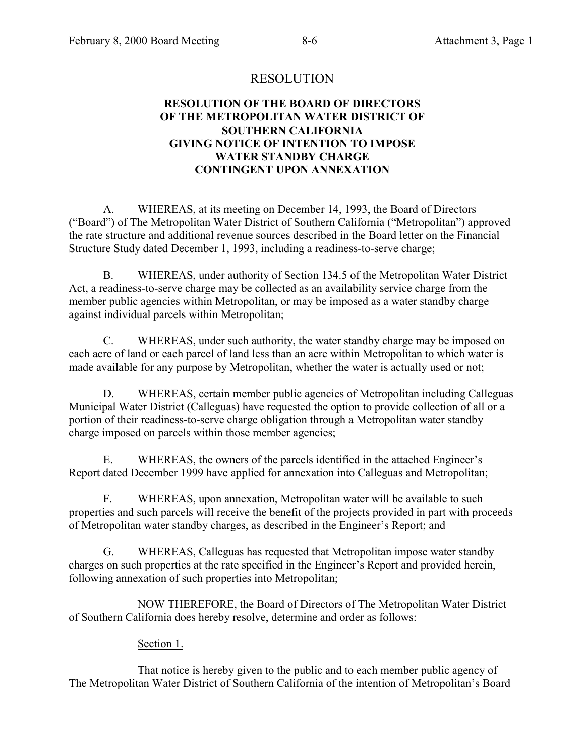# RESOLUTION

# **RESOLUTION OF THE BOARD OF DIRECTORS OF THE METROPOLITAN WATER DISTRICT OF SOUTHERN CALIFORNIA GIVING NOTICE OF INTENTION TO IMPOSE WATER STANDBY CHARGE CONTINGENT UPON ANNEXATION**

A. WHEREAS, at its meeting on December 14, 1993, the Board of Directors ("Board") of The Metropolitan Water District of Southern California ("Metropolitan") approved the rate structure and additional revenue sources described in the Board letter on the Financial Structure Study dated December 1, 1993, including a readiness-to-serve charge;

B. WHEREAS, under authority of Section 134.5 of the Metropolitan Water District Act, a readiness-to-serve charge may be collected as an availability service charge from the member public agencies within Metropolitan, or may be imposed as a water standby charge against individual parcels within Metropolitan;

C. WHEREAS, under such authority, the water standby charge may be imposed on each acre of land or each parcel of land less than an acre within Metropolitan to which water is made available for any purpose by Metropolitan, whether the water is actually used or not;

D. WHEREAS, certain member public agencies of Metropolitan including Calleguas Municipal Water District (Calleguas) have requested the option to provide collection of all or a portion of their readiness-to-serve charge obligation through a Metropolitan water standby charge imposed on parcels within those member agencies;

E. WHEREAS, the owners of the parcels identified in the attached Engineer's Report dated December 1999 have applied for annexation into Calleguas and Metropolitan;

F. WHEREAS, upon annexation, Metropolitan water will be available to such properties and such parcels will receive the benefit of the projects provided in part with proceeds of Metropolitan water standby charges, as described in the Engineer's Report; and

G. WHEREAS, Calleguas has requested that Metropolitan impose water standby charges on such properties at the rate specified in the Engineer's Report and provided herein, following annexation of such properties into Metropolitan;

NOW THEREFORE, the Board of Directors of The Metropolitan Water District of Southern California does hereby resolve, determine and order as follows:

# Section 1.

That notice is hereby given to the public and to each member public agency of The Metropolitan Water District of Southern California of the intention of Metropolitan's Board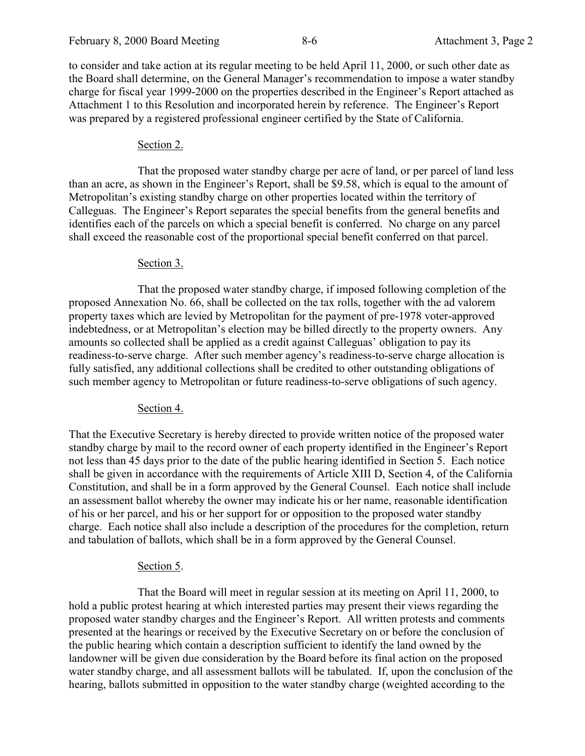to consider and take action at its regular meeting to be held April 11, 2000, or such other date as the Board shall determine, on the General Manager's recommendation to impose a water standby charge for fiscal year 1999-2000 on the properties described in the Engineer's Report attached as Attachment 1 to this Resolution and incorporated herein by reference. The Engineer's Report was prepared by a registered professional engineer certified by the State of California.

# Section 2.

That the proposed water standby charge per acre of land, or per parcel of land less than an acre, as shown in the Engineer's Report, shall be \$9.58, which is equal to the amount of Metropolitan's existing standby charge on other properties located within the territory of Calleguas. The Engineer's Report separates the special benefits from the general benefits and identifies each of the parcels on which a special benefit is conferred. No charge on any parcel shall exceed the reasonable cost of the proportional special benefit conferred on that parcel.

# Section 3.

That the proposed water standby charge, if imposed following completion of the proposed Annexation No. 66, shall be collected on the tax rolls, together with the ad valorem property taxes which are levied by Metropolitan for the payment of pre-1978 voter-approved indebtedness, or at Metropolitan's election may be billed directly to the property owners. Any amounts so collected shall be applied as a credit against Calleguas' obligation to pay its readiness-to-serve charge. After such member agency's readiness-to-serve charge allocation is fully satisfied, any additional collections shall be credited to other outstanding obligations of such member agency to Metropolitan or future readiness-to-serve obligations of such agency.

# Section 4.

That the Executive Secretary is hereby directed to provide written notice of the proposed water standby charge by mail to the record owner of each property identified in the Engineer's Report not less than 45 days prior to the date of the public hearing identified in Section 5. Each notice shall be given in accordance with the requirements of Article XIII D, Section 4, of the California Constitution, and shall be in a form approved by the General Counsel. Each notice shall include an assessment ballot whereby the owner may indicate his or her name, reasonable identification of his or her parcel, and his or her support for or opposition to the proposed water standby charge. Each notice shall also include a description of the procedures for the completion, return and tabulation of ballots, which shall be in a form approved by the General Counsel.

# Section 5.

That the Board will meet in regular session at its meeting on April 11, 2000, to hold a public protest hearing at which interested parties may present their views regarding the proposed water standby charges and the Engineer's Report. All written protests and comments presented at the hearings or received by the Executive Secretary on or before the conclusion of the public hearing which contain a description sufficient to identify the land owned by the landowner will be given due consideration by the Board before its final action on the proposed water standby charge, and all assessment ballots will be tabulated. If, upon the conclusion of the hearing, ballots submitted in opposition to the water standby charge (weighted according to the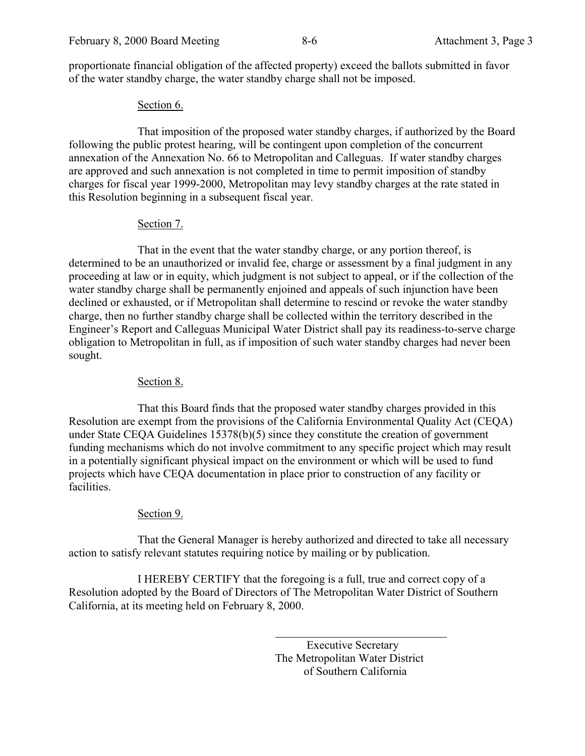proportionate financial obligation of the affected property) exceed the ballots submitted in favor of the water standby charge, the water standby charge shall not be imposed.

#### Section 6.

That imposition of the proposed water standby charges, if authorized by the Board following the public protest hearing, will be contingent upon completion of the concurrent annexation of the Annexation No. 66 to Metropolitan and Calleguas. If water standby charges are approved and such annexation is not completed in time to permit imposition of standby charges for fiscal year 1999-2000, Metropolitan may levy standby charges at the rate stated in this Resolution beginning in a subsequent fiscal year.

# Section 7.

That in the event that the water standby charge, or any portion thereof, is determined to be an unauthorized or invalid fee, charge or assessment by a final judgment in any proceeding at law or in equity, which judgment is not subject to appeal, or if the collection of the water standby charge shall be permanently enjoined and appeals of such injunction have been declined or exhausted, or if Metropolitan shall determine to rescind or revoke the water standby charge, then no further standby charge shall be collected within the territory described in the Engineer's Report and Calleguas Municipal Water District shall pay its readiness-to-serve charge obligation to Metropolitan in full, as if imposition of such water standby charges had never been sought.

# Section 8.

That this Board finds that the proposed water standby charges provided in this Resolution are exempt from the provisions of the California Environmental Quality Act (CEQA) under State CEQA Guidelines 15378(b)(5) since they constitute the creation of government funding mechanisms which do not involve commitment to any specific project which may result in a potentially significant physical impact on the environment or which will be used to fund projects which have CEQA documentation in place prior to construction of any facility or facilities.

# Section 9.

That the General Manager is hereby authorized and directed to take all necessary action to satisfy relevant statutes requiring notice by mailing or by publication.

I HEREBY CERTIFY that the foregoing is a full, true and correct copy of a Resolution adopted by the Board of Directors of The Metropolitan Water District of Southern California, at its meeting held on February 8, 2000.

 $\overline{a}$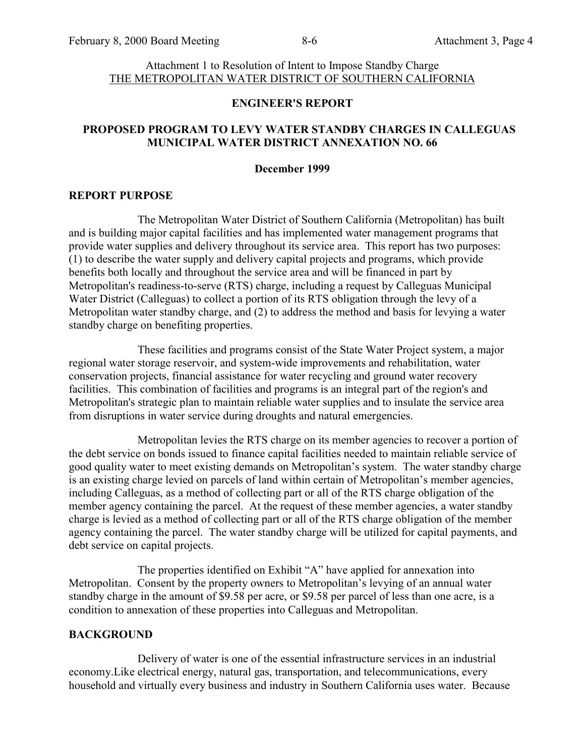#### Attachment 1 to Resolution of Intent to Impose Standby Charge THE METROPOLITAN WATER DISTRICT OF SOUTHERN CALIFORNIA

#### **ENGINEER'S REPORT**

#### **PROPOSED PROGRAM TO LEVY WATER STANDBY CHARGES IN CALLEGUAS MUNICIPAL WATER DISTRICT ANNEXATION NO. 66**

#### **December 1999**

#### **REPORT PURPOSE**

The Metropolitan Water District of Southern California (Metropolitan) has built and is building major capital facilities and has implemented water management programs that provide water supplies and delivery throughout its service area. This report has two purposes: (1) to describe the water supply and delivery capital projects and programs, which provide benefits both locally and throughout the service area and will be financed in part by Metropolitan's readiness-to-serve (RTS) charge, including a request by Calleguas Municipal Water District (Calleguas) to collect a portion of its RTS obligation through the levy of a Metropolitan water standby charge, and (2) to address the method and basis for levying a water standby charge on benefiting properties.

These facilities and programs consist of the State Water Project system, a major regional water storage reservoir, and system-wide improvements and rehabilitation, water conservation projects, financial assistance for water recycling and ground water recovery facilities. This combination of facilities and programs is an integral part of the region's and Metropolitan's strategic plan to maintain reliable water supplies and to insulate the service area from disruptions in water service during droughts and natural emergencies.

Metropolitan levies the RTS charge on its member agencies to recover a portion of the debt service on bonds issued to finance capital facilities needed to maintain reliable service of good quality water to meet existing demands on Metropolitan's system. The water standby charge is an existing charge levied on parcels of land within certain of Metropolitan's member agencies, including Calleguas, as a method of collecting part or all of the RTS charge obligation of the member agency containing the parcel. At the request of these member agencies, a water standby charge is levied as a method of collecting part or all of the RTS charge obligation of the member agency containing the parcel. The water standby charge will be utilized for capital payments, and debt service on capital projects.

The properties identified on Exhibit "A" have applied for annexation into Metropolitan. Consent by the property owners to Metropolitan's levying of an annual water standby charge in the amount of \$9.58 per acre, or \$9.58 per parcel of less than one acre, is a condition to annexation of these properties into Calleguas and Metropolitan.

#### **BACKGROUND**

Delivery of water is one of the essential infrastructure services in an industrial economy.Like electrical energy, natural gas, transportation, and telecommunications, every household and virtually every business and industry in Southern California uses water. Because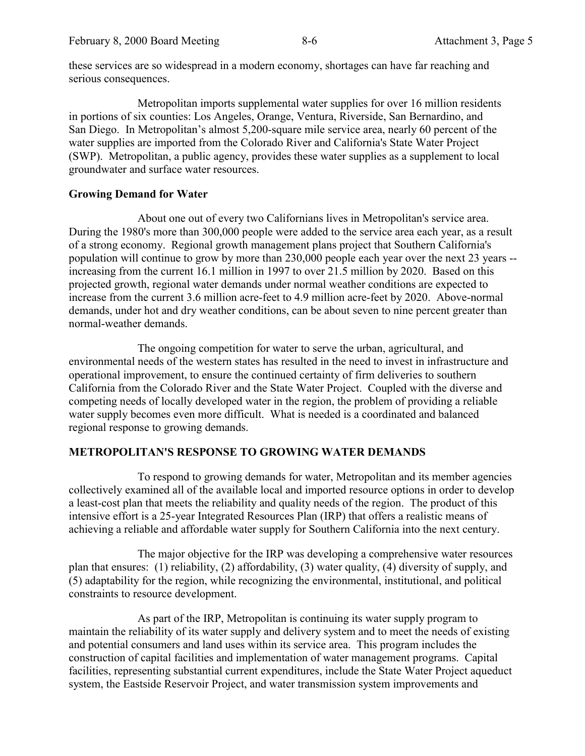these services are so widespread in a modern economy, shortages can have far reaching and serious consequences.

Metropolitan imports supplemental water supplies for over 16 million residents in portions of six counties: Los Angeles, Orange, Ventura, Riverside, San Bernardino, and San Diego. In Metropolitan's almost 5,200-square mile service area, nearly 60 percent of the water supplies are imported from the Colorado River and California's State Water Project (SWP). Metropolitan, a public agency, provides these water supplies as a supplement to local groundwater and surface water resources.

#### **Growing Demand for Water**

About one out of every two Californians lives in Metropolitan's service area. During the 1980's more than 300,000 people were added to the service area each year, as a result of a strong economy. Regional growth management plans project that Southern California's population will continue to grow by more than 230,000 people each year over the next 23 years - increasing from the current 16.1 million in 1997 to over 21.5 million by 2020. Based on this projected growth, regional water demands under normal weather conditions are expected to increase from the current 3.6 million acre-feet to 4.9 million acre-feet by 2020. Above-normal demands, under hot and dry weather conditions, can be about seven to nine percent greater than normal-weather demands.

The ongoing competition for water to serve the urban, agricultural, and environmental needs of the western states has resulted in the need to invest in infrastructure and operational improvement, to ensure the continued certainty of firm deliveries to southern California from the Colorado River and the State Water Project. Coupled with the diverse and competing needs of locally developed water in the region, the problem of providing a reliable water supply becomes even more difficult. What is needed is a coordinated and balanced regional response to growing demands.

# **METROPOLITAN'S RESPONSE TO GROWING WATER DEMANDS**

To respond to growing demands for water, Metropolitan and its member agencies collectively examined all of the available local and imported resource options in order to develop a least-cost plan that meets the reliability and quality needs of the region. The product of this intensive effort is a 25-year Integrated Resources Plan (IRP) that offers a realistic means of achieving a reliable and affordable water supply for Southern California into the next century.

The major objective for the IRP was developing a comprehensive water resources plan that ensures: (1) reliability, (2) affordability, (3) water quality, (4) diversity of supply, and (5) adaptability for the region, while recognizing the environmental, institutional, and political constraints to resource development.

As part of the IRP, Metropolitan is continuing its water supply program to maintain the reliability of its water supply and delivery system and to meet the needs of existing and potential consumers and land uses within its service area. This program includes the construction of capital facilities and implementation of water management programs. Capital facilities, representing substantial current expenditures, include the State Water Project aqueduct system, the Eastside Reservoir Project, and water transmission system improvements and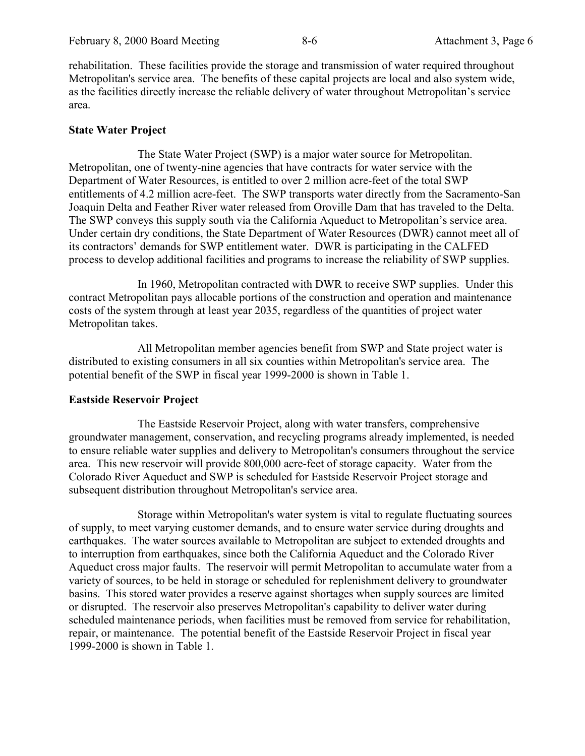rehabilitation. These facilities provide the storage and transmission of water required throughout Metropolitan's service area. The benefits of these capital projects are local and also system wide, as the facilities directly increase the reliable delivery of water throughout Metropolitan's service area.

#### **State Water Project**

The State Water Project (SWP) is a major water source for Metropolitan. Metropolitan, one of twenty-nine agencies that have contracts for water service with the Department of Water Resources, is entitled to over 2 million acre-feet of the total SWP entitlements of 4.2 million acre-feet. The SWP transports water directly from the Sacramento-San Joaquin Delta and Feather River water released from Oroville Dam that has traveled to the Delta. The SWP conveys this supply south via the California Aqueduct to Metropolitan's service area. Under certain dry conditions, the State Department of Water Resources (DWR) cannot meet all of its contractors' demands for SWP entitlement water. DWR is participating in the CALFED process to develop additional facilities and programs to increase the reliability of SWP supplies.

In 1960, Metropolitan contracted with DWR to receive SWP supplies. Under this contract Metropolitan pays allocable portions of the construction and operation and maintenance costs of the system through at least year 2035, regardless of the quantities of project water Metropolitan takes.

All Metropolitan member agencies benefit from SWP and State project water is distributed to existing consumers in all six counties within Metropolitan's service area. The potential benefit of the SWP in fiscal year 1999-2000 is shown in Table 1.

#### **Eastside Reservoir Project**

The Eastside Reservoir Project, along with water transfers, comprehensive groundwater management, conservation, and recycling programs already implemented, is needed to ensure reliable water supplies and delivery to Metropolitan's consumers throughout the service area. This new reservoir will provide 800,000 acre-feet of storage capacity. Water from the Colorado River Aqueduct and SWP is scheduled for Eastside Reservoir Project storage and subsequent distribution throughout Metropolitan's service area.

Storage within Metropolitan's water system is vital to regulate fluctuating sources of supply, to meet varying customer demands, and to ensure water service during droughts and earthquakes. The water sources available to Metropolitan are subject to extended droughts and to interruption from earthquakes, since both the California Aqueduct and the Colorado River Aqueduct cross major faults. The reservoir will permit Metropolitan to accumulate water from a variety of sources, to be held in storage or scheduled for replenishment delivery to groundwater basins. This stored water provides a reserve against shortages when supply sources are limited or disrupted. The reservoir also preserves Metropolitan's capability to deliver water during scheduled maintenance periods, when facilities must be removed from service for rehabilitation, repair, or maintenance. The potential benefit of the Eastside Reservoir Project in fiscal year 1999-2000 is shown in Table 1.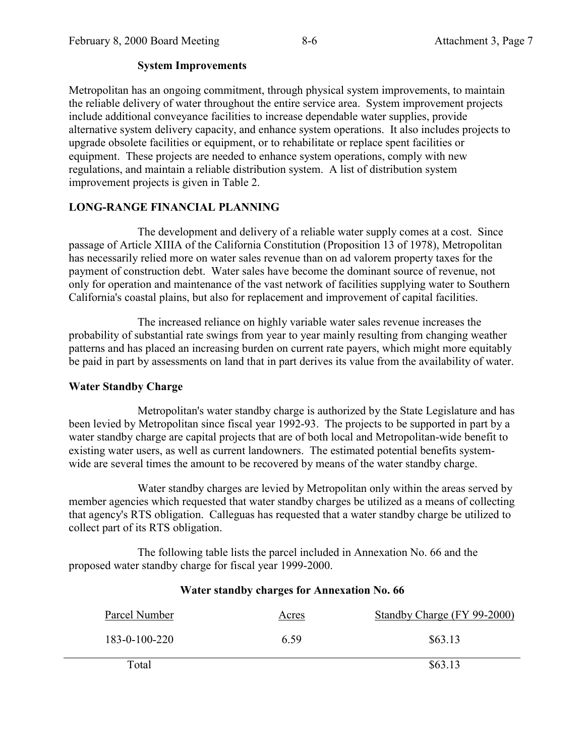# **System Improvements**

Metropolitan has an ongoing commitment, through physical system improvements, to maintain the reliable delivery of water throughout the entire service area. System improvement projects include additional conveyance facilities to increase dependable water supplies, provide alternative system delivery capacity, and enhance system operations. It also includes projects to upgrade obsolete facilities or equipment, or to rehabilitate or replace spent facilities or equipment. These projects are needed to enhance system operations, comply with new regulations, and maintain a reliable distribution system. A list of distribution system improvement projects is given in Table 2.

# **LONG-RANGE FINANCIAL PLANNING**

The development and delivery of a reliable water supply comes at a cost. Since passage of Article XIIIA of the California Constitution (Proposition 13 of 1978), Metropolitan has necessarily relied more on water sales revenue than on ad valorem property taxes for the payment of construction debt. Water sales have become the dominant source of revenue, not only for operation and maintenance of the vast network of facilities supplying water to Southern California's coastal plains, but also for replacement and improvement of capital facilities.

The increased reliance on highly variable water sales revenue increases the probability of substantial rate swings from year to year mainly resulting from changing weather patterns and has placed an increasing burden on current rate payers, which might more equitably be paid in part by assessments on land that in part derives its value from the availability of water.

# **Water Standby Charge**

Metropolitan's water standby charge is authorized by the State Legislature and has been levied by Metropolitan since fiscal year 1992-93. The projects to be supported in part by a water standby charge are capital projects that are of both local and Metropolitan-wide benefit to existing water users, as well as current landowners. The estimated potential benefits systemwide are several times the amount to be recovered by means of the water standby charge.

Water standby charges are levied by Metropolitan only within the areas served by member agencies which requested that water standby charges be utilized as a means of collecting that agency's RTS obligation. Calleguas has requested that a water standby charge be utilized to collect part of its RTS obligation.

The following table lists the parcel included in Annexation No. 66 and the proposed water standby charge for fiscal year 1999-2000.

# Parcel Number Acres Standby Charge (FY 99-2000) 183-0-100-220 6.59 \$63.13  $Total$   $$63.13$

# **Water standby charges for Annexation No. 66**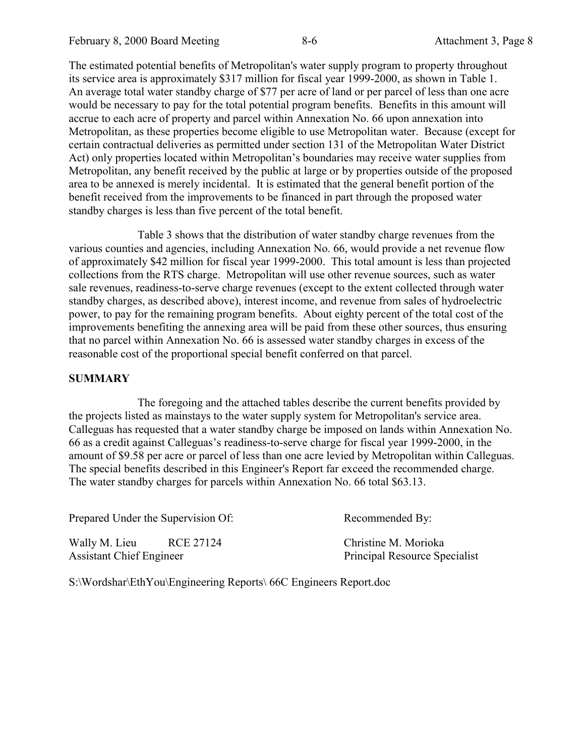The estimated potential benefits of Metropolitan's water supply program to property throughout its service area is approximately \$317 million for fiscal year 1999-2000, as shown in Table 1. An average total water standby charge of \$77 per acre of land or per parcel of less than one acre would be necessary to pay for the total potential program benefits. Benefits in this amount will accrue to each acre of property and parcel within Annexation No. 66 upon annexation into Metropolitan, as these properties become eligible to use Metropolitan water. Because (except for certain contractual deliveries as permitted under section 131 of the Metropolitan Water District Act) only properties located within Metropolitan's boundaries may receive water supplies from Metropolitan, any benefit received by the public at large or by properties outside of the proposed area to be annexed is merely incidental. It is estimated that the general benefit portion of the benefit received from the improvements to be financed in part through the proposed water standby charges is less than five percent of the total benefit.

Table 3 shows that the distribution of water standby charge revenues from the various counties and agencies, including Annexation No. 66, would provide a net revenue flow of approximately \$42 million for fiscal year 1999-2000. This total amount is less than projected collections from the RTS charge. Metropolitan will use other revenue sources, such as water sale revenues, readiness-to-serve charge revenues (except to the extent collected through water standby charges, as described above), interest income, and revenue from sales of hydroelectric power, to pay for the remaining program benefits. About eighty percent of the total cost of the improvements benefiting the annexing area will be paid from these other sources, thus ensuring that no parcel within Annexation No. 66 is assessed water standby charges in excess of the reasonable cost of the proportional special benefit conferred on that parcel.

#### **SUMMARY**

The foregoing and the attached tables describe the current benefits provided by the projects listed as mainstays to the water supply system for Metropolitan's service area. Calleguas has requested that a water standby charge be imposed on lands within Annexation No. 66 as a credit against Calleguas's readiness-to-serve charge for fiscal year 1999-2000, in the amount of \$9.58 per acre or parcel of less than one acre levied by Metropolitan within Calleguas. The special benefits described in this Engineer's Report far exceed the recommended charge. The water standby charges for parcels within Annexation No. 66 total \$63.13.

| Prepared Under the Supervision Of:                            | Recommended By:                                              |
|---------------------------------------------------------------|--------------------------------------------------------------|
| Wally M. Lieu<br>RCE 27124<br><b>Assistant Chief Engineer</b> | Christine M. Morioka<br><b>Principal Resource Specialist</b> |

S:\Wordshar\EthYou\Engineering Reports\ 66C Engineers Report.doc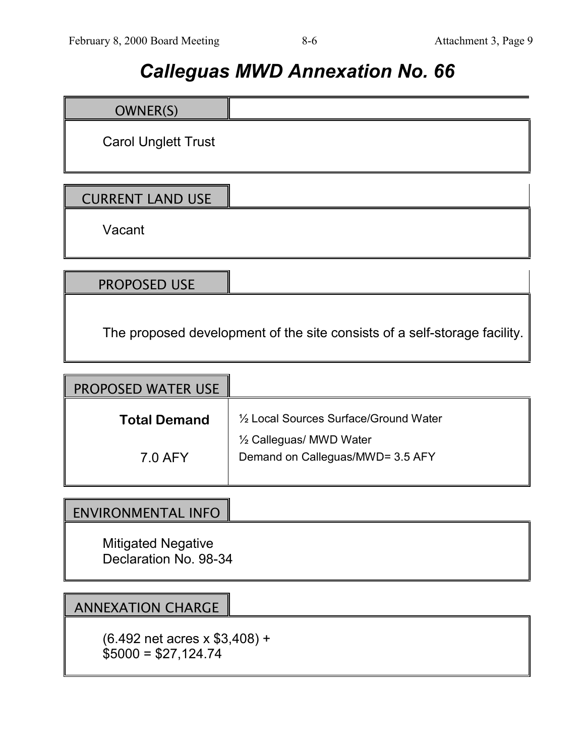# *Calleguas MWD Annexation No. 66*

| OWNER(S)                   |  |
|----------------------------|--|
| <b>Carol Unglett Trust</b> |  |
| <b>CURRENT LAND USE</b>    |  |
| Vacant                     |  |

PROPOSED USE

The proposed development of the site consists of a self-storage facility.

| 1/2 Local Sources Surface/Ground Water |
|----------------------------------------|
| Demand on Calleguas/MWD= 3.5 AFY       |
|                                        |

# ENVIRONMENTAL INFO

Mitigated Negative Declaration No. 98-34

# ANNEXATION CHARGE

(6.492 net acres x \$3,408) +  $$5000 = $27,124.74$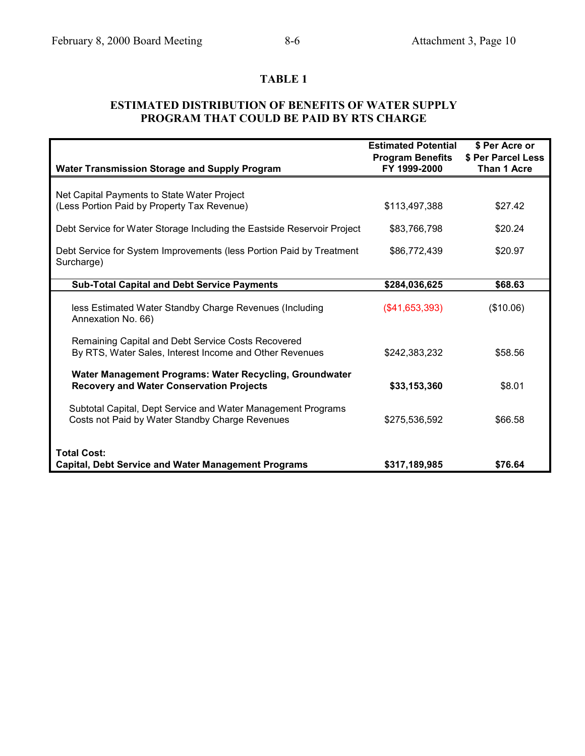# **TABLE 1**

# **ESTIMATED DISTRIBUTION OF BENEFITS OF WATER SUPPLY PROGRAM THAT COULD BE PAID BY RTS CHARGE**

| <b>Water Transmission Storage and Supply Program</b>                                                            | <b>Estimated Potential</b><br><b>Program Benefits</b><br>FY 1999-2000 | \$ Per Acre or<br>\$ Per Parcel Less<br>Than 1 Acre |
|-----------------------------------------------------------------------------------------------------------------|-----------------------------------------------------------------------|-----------------------------------------------------|
|                                                                                                                 |                                                                       |                                                     |
| Net Capital Payments to State Water Project                                                                     |                                                                       |                                                     |
| (Less Portion Paid by Property Tax Revenue)                                                                     | \$113,497,388                                                         | \$27.42                                             |
| Debt Service for Water Storage Including the Eastside Reservoir Project                                         | \$83,766,798                                                          | \$20.24                                             |
| Debt Service for System Improvements (less Portion Paid by Treatment<br>Surcharge)                              | \$86,772,439                                                          | \$20.97                                             |
| <b>Sub-Total Capital and Debt Service Payments</b>                                                              | \$284,036,625                                                         | \$68.63                                             |
| less Estimated Water Standby Charge Revenues (Including<br>Annexation No. 66)                                   | (\$41,653,393)                                                        | (\$10.06)                                           |
| Remaining Capital and Debt Service Costs Recovered<br>By RTS, Water Sales, Interest Income and Other Revenues   | \$242,383,232                                                         | \$58.56                                             |
| Water Management Programs: Water Recycling, Groundwater<br><b>Recovery and Water Conservation Projects</b>      | \$33,153,360                                                          | \$8.01                                              |
| Subtotal Capital, Dept Service and Water Management Programs<br>Costs not Paid by Water Standby Charge Revenues | \$275,536,592                                                         | \$66.58                                             |
| <b>Total Cost:</b><br><b>Capital, Debt Service and Water Management Programs</b>                                | \$317,189,985                                                         | \$76.64                                             |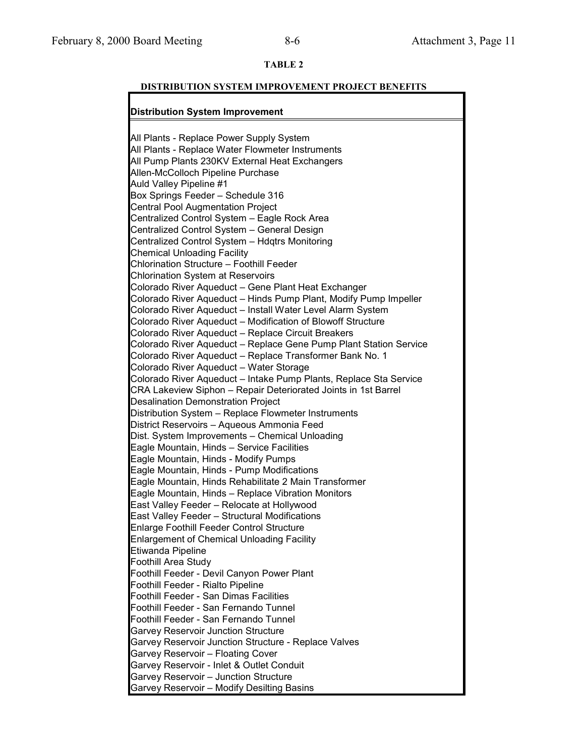#### **TABLE 2**

#### **DISTRIBUTION SYSTEM IMPROVEMENT PROJECT BENEFITS**

#### **Distribution System Improvement**

All Plants - Replace Power Supply System All Plants - Replace Water Flowmeter Instruments All Pump Plants 230KV External Heat Exchangers Allen-McColloch Pipeline Purchase Auld Valley Pipeline #1 Box Springs Feeder – Schedule 316 Central Pool Augmentation Project Centralized Control System – Eagle Rock Area Centralized Control System – General Design Centralized Control System – Hdqtrs Monitoring Chemical Unloading Facility Chlorination Structure – Foothill Feeder Chlorination System at Reservoirs Colorado River Aqueduct – Gene Plant Heat Exchanger Colorado River Aqueduct – Hinds Pump Plant, Modify Pump Impeller Colorado River Aqueduct – Install Water Level Alarm System Colorado River Aqueduct – Modification of Blowoff Structure Colorado River Aqueduct – Replace Circuit Breakers Colorado River Aqueduct – Replace Gene Pump Plant Station Service Colorado River Aqueduct – Replace Transformer Bank No. 1 Colorado River Aqueduct – Water Storage Colorado River Aqueduct – Intake Pump Plants, Replace Sta Service CRA Lakeview Siphon – Repair Deteriorated Joints in 1st Barrel Desalination Demonstration Project Distribution System – Replace Flowmeter Instruments District Reservoirs – Aqueous Ammonia Feed Dist. System Improvements – Chemical Unloading Eagle Mountain, Hinds – Service Facilities Eagle Mountain, Hinds - Modify Pumps Eagle Mountain, Hinds - Pump Modifications Eagle Mountain, Hinds Rehabilitate 2 Main Transformer Eagle Mountain, Hinds – Replace Vibration Monitors East Valley Feeder – Relocate at Hollywood East Valley Feeder – Structural Modifications Enlarge Foothill Feeder Control Structure Enlargement of Chemical Unloading Facility Etiwanda Pipeline Foothill Area Study Foothill Feeder - Devil Canyon Power Plant Foothill Feeder - Rialto Pipeline Foothill Feeder - San Dimas Facilities Foothill Feeder - San Fernando Tunnel Foothill Feeder - San Fernando Tunnel Garvey Reservoir Junction Structure Garvey Reservoir Junction Structure - Replace Valves Garvey Reservoir – Floating Cover Garvey Reservoir - Inlet & Outlet Conduit Garvey Reservoir – Junction Structure Garvey Reservoir – Modify Desilting Basins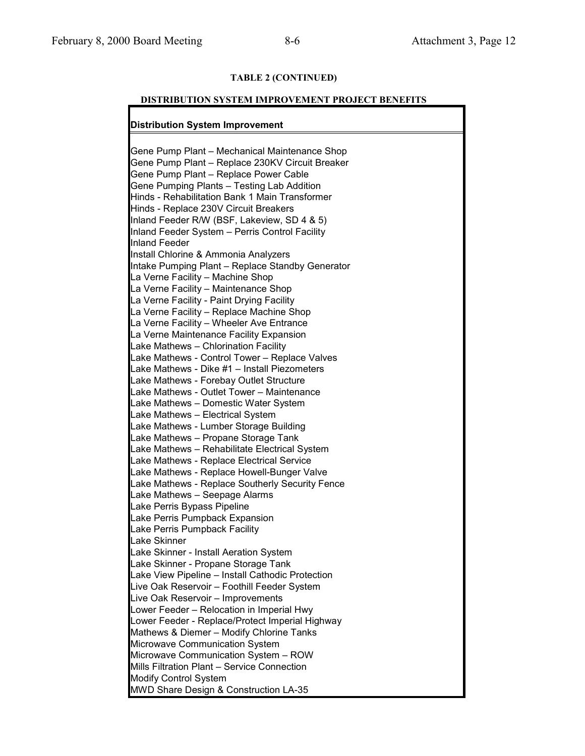# **TABLE 2 (CONTINUED)**

#### **DISTRIBUTION SYSTEM IMPROVEMENT PROJECT BENEFITS**

# **Distribution System Improvement**

| Gene Pump Plant - Mechanical Maintenance Shop                                       |
|-------------------------------------------------------------------------------------|
| Gene Pump Plant - Replace 230KV Circuit Breaker                                     |
| Gene Pump Plant - Replace Power Cable                                               |
| Gene Pumping Plants - Testing Lab Addition                                          |
| Hinds - Rehabilitation Bank 1 Main Transformer                                      |
| Hinds - Replace 230V Circuit Breakers                                               |
| Inland Feeder R/W (BSF, Lakeview, SD 4 & 5)                                         |
| Inland Feeder System - Perris Control Facility                                      |
| <b>Inland Feeder</b>                                                                |
| Install Chlorine & Ammonia Analyzers                                                |
| Intake Pumping Plant - Replace Standby Generator                                    |
| La Verne Facility - Machine Shop                                                    |
| La Verne Facility - Maintenance Shop                                                |
| La Verne Facility - Paint Drying Facility                                           |
|                                                                                     |
| La Verne Facility - Replace Machine Shop                                            |
| La Verne Facility - Wheeler Ave Entrance                                            |
| La Verne Maintenance Facility Expansion                                             |
| Lake Mathews - Chlorination Facility                                                |
| Lake Mathews - Control Tower - Replace Valves                                       |
| Lake Mathews - Dike #1 - Install Piezometers                                        |
| Lake Mathews - Forebay Outlet Structure                                             |
| Lake Mathews - Outlet Tower - Maintenance                                           |
| Lake Mathews - Domestic Water System                                                |
| Lake Mathews - Electrical System                                                    |
| Lake Mathews - Lumber Storage Building                                              |
| Lake Mathews - Propane Storage Tank                                                 |
| Lake Mathews - Rehabilitate Electrical System                                       |
| Lake Mathews - Replace Electrical Service                                           |
| Lake Mathews - Replace Howell-Bunger Valve                                          |
| Lake Mathews - Replace Southerly Security Fence                                     |
| Lake Mathews - Seepage Alarms                                                       |
| Lake Perris Bypass Pipeline                                                         |
| Lake Perris Pumpback Expansion                                                      |
| Lake Perris Pumpback Facility                                                       |
| <b>Lake Skinner</b>                                                                 |
| Lake Skinner - Install Aeration System                                              |
| Lake Skinner - Propane Storage Tank                                                 |
| Lake View Pipeline - Install Cathodic Protection                                    |
| Live Oak Reservoir - Foothill Feeder System                                         |
| Live Oak Reservoir - Improvements<br>Lower Feeder - Relocation in Imperial Hwy      |
|                                                                                     |
| Lower Feeder - Replace/Protect Imperial Highway                                     |
| Mathews & Diemer - Modify Chlorine Tanks<br>Microwave Communication System          |
|                                                                                     |
| Microwave Communication System - ROW<br>Mills Filtration Plant - Service Connection |
| <b>Modify Control System</b>                                                        |
| MWD Share Design & Construction LA-35                                               |
|                                                                                     |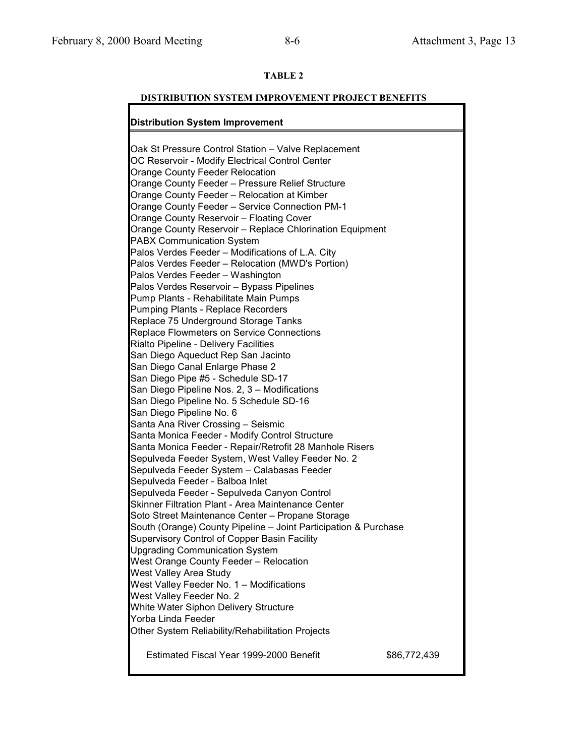# **TABLE 2**

# **DISTRIBUTION SYSTEM IMPROVEMENT PROJECT BENEFITS**

# **Distribution System Improvement**

| Oak St Pressure Control Station - Valve Replacement<br>OC Reservoir - Modify Electrical Control Center<br><b>Orange County Feeder Relocation</b><br>Orange County Feeder - Pressure Relief Structure<br>Orange County Feeder - Relocation at Kimber<br><b>Orange County Feeder - Service Connection PM-1</b><br>Orange County Reservoir - Floating Cover<br>Orange County Reservoir - Replace Chlorination Equipment<br><b>PABX Communication System</b><br>Palos Verdes Feeder - Modifications of L.A. City<br>Palos Verdes Feeder - Relocation (MWD's Portion)<br>Palos Verdes Feeder - Washington |              |
|------------------------------------------------------------------------------------------------------------------------------------------------------------------------------------------------------------------------------------------------------------------------------------------------------------------------------------------------------------------------------------------------------------------------------------------------------------------------------------------------------------------------------------------------------------------------------------------------------|--------------|
| Palos Verdes Reservoir - Bypass Pipelines                                                                                                                                                                                                                                                                                                                                                                                                                                                                                                                                                            |              |
| Pump Plants - Rehabilitate Main Pumps                                                                                                                                                                                                                                                                                                                                                                                                                                                                                                                                                                |              |
| <b>Pumping Plants - Replace Recorders</b>                                                                                                                                                                                                                                                                                                                                                                                                                                                                                                                                                            |              |
| Replace 75 Underground Storage Tanks                                                                                                                                                                                                                                                                                                                                                                                                                                                                                                                                                                 |              |
| Replace Flowmeters on Service Connections<br>Rialto Pipeline - Delivery Facilities                                                                                                                                                                                                                                                                                                                                                                                                                                                                                                                   |              |
| San Diego Aqueduct Rep San Jacinto                                                                                                                                                                                                                                                                                                                                                                                                                                                                                                                                                                   |              |
| San Diego Canal Enlarge Phase 2                                                                                                                                                                                                                                                                                                                                                                                                                                                                                                                                                                      |              |
| San Diego Pipe #5 - Schedule SD-17                                                                                                                                                                                                                                                                                                                                                                                                                                                                                                                                                                   |              |
| San Diego Pipeline Nos. 2, 3 - Modifications                                                                                                                                                                                                                                                                                                                                                                                                                                                                                                                                                         |              |
| San Diego Pipeline No. 5 Schedule SD-16                                                                                                                                                                                                                                                                                                                                                                                                                                                                                                                                                              |              |
| San Diego Pipeline No. 6                                                                                                                                                                                                                                                                                                                                                                                                                                                                                                                                                                             |              |
| Santa Ana River Crossing - Seismic                                                                                                                                                                                                                                                                                                                                                                                                                                                                                                                                                                   |              |
| Santa Monica Feeder - Modify Control Structure                                                                                                                                                                                                                                                                                                                                                                                                                                                                                                                                                       |              |
| Santa Monica Feeder - Repair/Retrofit 28 Manhole Risers                                                                                                                                                                                                                                                                                                                                                                                                                                                                                                                                              |              |
| Sepulveda Feeder System, West Valley Feeder No. 2                                                                                                                                                                                                                                                                                                                                                                                                                                                                                                                                                    |              |
| Sepulveda Feeder System - Calabasas Feeder                                                                                                                                                                                                                                                                                                                                                                                                                                                                                                                                                           |              |
| Sepulveda Feeder - Balboa Inlet<br>Sepulveda Feeder - Sepulveda Canyon Control                                                                                                                                                                                                                                                                                                                                                                                                                                                                                                                       |              |
| <b>Skinner Filtration Plant - Area Maintenance Center</b>                                                                                                                                                                                                                                                                                                                                                                                                                                                                                                                                            |              |
| Soto Street Maintenance Center - Propane Storage                                                                                                                                                                                                                                                                                                                                                                                                                                                                                                                                                     |              |
| South (Orange) County Pipeline - Joint Participation & Purchase                                                                                                                                                                                                                                                                                                                                                                                                                                                                                                                                      |              |
| Supervisory Control of Copper Basin Facility                                                                                                                                                                                                                                                                                                                                                                                                                                                                                                                                                         |              |
| <b>Upgrading Communication System</b>                                                                                                                                                                                                                                                                                                                                                                                                                                                                                                                                                                |              |
| West Orange County Feeder - Relocation                                                                                                                                                                                                                                                                                                                                                                                                                                                                                                                                                               |              |
| West Valley Area Study                                                                                                                                                                                                                                                                                                                                                                                                                                                                                                                                                                               |              |
| West Valley Feeder No. 1 - Modifications                                                                                                                                                                                                                                                                                                                                                                                                                                                                                                                                                             |              |
| West Valley Feeder No. 2                                                                                                                                                                                                                                                                                                                                                                                                                                                                                                                                                                             |              |
| White Water Siphon Delivery Structure                                                                                                                                                                                                                                                                                                                                                                                                                                                                                                                                                                |              |
| Yorba Linda Feeder                                                                                                                                                                                                                                                                                                                                                                                                                                                                                                                                                                                   |              |
| Other System Reliability/Rehabilitation Projects                                                                                                                                                                                                                                                                                                                                                                                                                                                                                                                                                     |              |
| Estimated Fiscal Year 1999-2000 Benefit                                                                                                                                                                                                                                                                                                                                                                                                                                                                                                                                                              | \$86,772,439 |